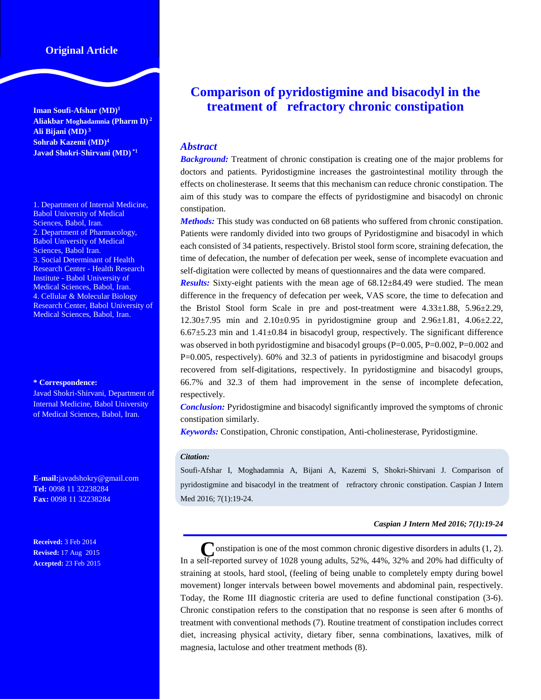# **Original Article**

**Iman Soufi-Afshar (MD)<sup>1</sup> Aliakbar Moghadamnia (Pharm D) <sup>2</sup> Ali Bijani (MD) <sup>3</sup> Sohrab Kazemi (MD)<sup>4</sup> Javad Shokri-Shirvani (MD) \*1**

1. Department of Internal Medicine, Babol University of Medical Sciences, Babol, Iran. 2. Department of Pharmacology, Babol University of Medical Sciences, Babol Iran. 3. Social Determinant of Health Research Center - Health Research Institute - Babol University of Medical Sciences, Babol, Iran. 4. Cellular & Molecular Biology Research Center, Babol University of Medical Sciences, Babol, Iran.

#### **\* Correspondence:**

Javad Shokri-Shirvani, Department of Internal Medicine, Babol University of Medical Sciences, Babol, Iran.

**E-mail:**javadshokry@gmail.com **Tel:** 0098 11 32238284 **Fax:** 0098 11 32238284

**Received:** 3 Feb 2014 **Revised:** 17 Aug 2015 **Accepted:** 23 Feb 2015

# **Comparison of pyridostigmine and bisacodyl in the treatment of refractory chronic constipation**

## *Abstract*

**Background:** Treatment of chronic constipation is creating one of the major problems for doctors and patients. Pyridostigmine increases the gastrointestinal motility through the effects on cholinesterase. It seems that this mechanism can reduce chronic constipation. The aim of this study was to compare the effects of pyridostigmine and bisacodyl on chronic constipation.

*Methods:* This study was conducted on 68 patients who suffered from chronic constipation. Patients were randomly divided into two groups of Pyridostigmine and bisacodyl in which each consisted of 34 patients, respectively. Bristol stool form score, straining defecation, the time of defecation, the number of defecation per week, sense of incomplete evacuation and self-digitation were collected by means of questionnaires and the data were compared.

*Results:* Sixty-eight patients with the mean age of 68.12±84.49 were studied. The mean difference in the frequency of defecation per week, VAS score, the time to defecation and the Bristol Stool form Scale in pre and post-treatment were  $4.33\pm1.88$ ,  $5.96\pm2.29$ , 12.30±7.95 min and 2.10±0.95 in pyridostigmine group and 2.96±1.81, 4.06±2.22,  $6.67\pm5.23$  min and  $1.41\pm0.84$  in bisacodyl group, respectively. The significant difference was observed in both pyridostigmine and bisacodyl groups  $(P=0.005, P=0.002, P=0.002$  and P=0.005, respectively). 60% and 32.3 of patients in pyridostigmine and bisacodyl groups recovered from self-digitations, respectively. In pyridostigmine and bisacodyl groups, 66.7% and 32.3 of them had improvement in the sense of incomplete defecation, respectively.

*Conclusion:* Pyridostigmine and bisacodyl significantly improved the symptoms of chronic constipation similarly.

*Keywords:* Constipation, Chronic constipation, Anti-cholinesterase, Pyridostigmine.

#### *Citation:*

Soufi-Afshar I, Moghadamnia A, Bijani A, Kazemi S, Shokri-Shirvani J. Comparison of pyridostigmine and bisacodyl in the treatment of refractory chronic constipation. Caspian J Intern Med 2016; 7(1):19-24.

#### *Caspian J Intern Med 2016; 7(1):19-24*

Constipation is one of the most common chronic digestive disorders in adults (1, 2). In a self-reported survey of 1028 young adults, 52%, 44%, 32% and 20% had difficulty of straining at stools, hard stool, (feeling of being unable to completely empty during bowel movement) longer intervals between bowel movements and abdominal pain, respectively. Today, the Rome III diagnostic criteria are used to define functional constipation (3-6). Chronic constipation refers to the constipation that no response is seen after 6 months of treatment with conventional methods (7). Routine treatment of constipation includes correct diet, increasing physical activity, dietary fiber, senna combinations, laxatives, milk of magnesia, lactulose and other treatment methods (8).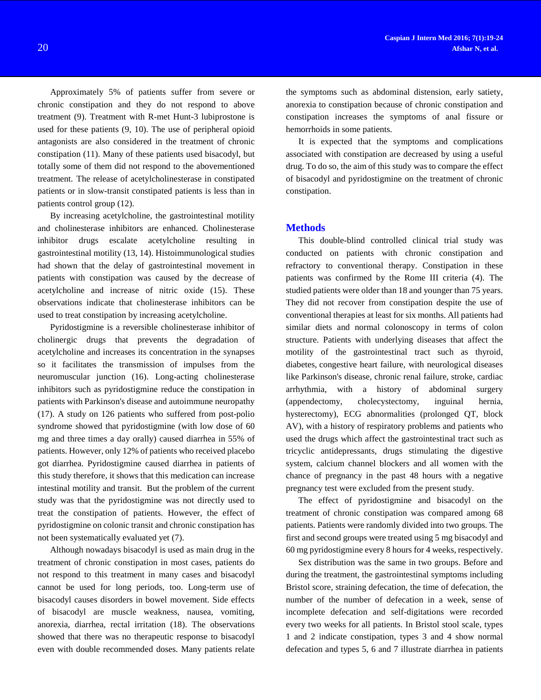Approximately 5% of patients suffer from severe or chronic constipation and they do not respond to above treatment (9). Treatment with R-met Hunt-3 lubiprostone is used for these patients (9, 10). The use of peripheral opioid antagonists are also considered in the treatment of chronic constipation (11). Many of these patients used bisacodyl, but totally some of them did not respond to the abovementioned treatment. The release of acetylcholinesterase in constipated patients or in slow-transit constipated patients is less than in patients control group (12).

By increasing acetylcholine, the gastrointestinal motility and cholinesterase inhibitors are enhanced. Cholinesterase inhibitor drugs escalate acetylcholine resulting in gastrointestinal motility (13, 14). Histoimmunological studies had shown that the delay of gastrointestinal movement in patients with constipation was caused by the decrease of acetylcholine and increase of nitric oxide (15). These observations indicate that cholinesterase inhibitors can be used to treat constipation by increasing acetylcholine.

Pyridostigmine is a reversible cholinesterase inhibitor of cholinergic drugs that prevents the degradation of acetylcholine and increases its concentration in the synapses so it facilitates the transmission of impulses from the neuromuscular junction (16). Long-acting cholinesterase inhibitors such as pyridostigmine reduce the constipation in patients with Parkinson's disease and autoimmune neuropathy (17). A study on 126 patients who suffered from post-polio syndrome showed that pyridostigmine (with low dose of 60 mg and three times a day orally) caused diarrhea in 55% of patients. However, only 12% of patients who received placebo got diarrhea. Pyridostigmine caused diarrhea in patients of this study therefore, it shows that this medication can increase intestinal motility and transit. But the problem of the current study was that the pyridostigmine was not directly used to treat the constipation of patients. However, the effect of pyridostigmine on colonic transit and chronic constipation has not been systematically evaluated yet (7).

Although nowadays bisacodyl is used as main drug in the treatment of chronic constipation in most cases, patients do not respond to this treatment in many cases and bisacodyl cannot be used for long periods, too. Long-term use of bisacodyl causes disorders in bowel movement. Side effects of bisacodyl are muscle weakness, nausea, vomiting, anorexia, diarrhea, rectal irritation (18). The observations showed that there was no therapeutic response to bisacodyl even with double recommended doses. Many patients relate

the symptoms such as abdominal distension, early satiety, anorexia to constipation because of chronic constipation and constipation increases the symptoms of anal fissure or hemorrhoids in some patients.

It is expected that the symptoms and complications associated with constipation are decreased by using a useful drug. To do so, the aim of this study was to compare the effect of bisacodyl and pyridostigmine on the treatment of chronic constipation.

#### **Methods**

This double-blind controlled clinical trial study was conducted on patients with chronic constipation and refractory to conventional therapy. Constipation in these patients was confirmed by the Rome III criteria (4). The studied patients were older than 18 and younger than 75 years. They did not recover from constipation despite the use of conventional therapies at least for six months. All patients had similar diets and normal colonoscopy in terms of colon structure. Patients with underlying diseases that affect the motility of the gastrointestinal tract such as thyroid, diabetes, congestive heart failure, with neurological diseases like Parkinson's disease, chronic renal failure, stroke, cardiac arrhythmia, with a history of abdominal surgery (appendectomy, cholecystectomy, inguinal hernia, hysterectomy), ECG abnormalities (prolonged QT, block AV), with a history of respiratory problems and patients who used the drugs which affect the gastrointestinal tract such as tricyclic antidepressants, drugs stimulating the digestive system, calcium channel blockers and all women with the chance of pregnancy in the past 48 hours with a negative pregnancy test were excluded from the present study.

The effect of pyridostigmine and bisacodyl on the treatment of chronic constipation was compared among 68 patients. Patients were randomly divided into two groups. The first and second groups were treated using 5 mg bisacodyl and 60 mg pyridostigmine every 8 hours for 4 weeks, respectively.

Sex distribution was the same in two groups. Before and during the treatment, the gastrointestinal symptoms including Bristol score, straining defecation, the time of defecation, the number of the number of defecation in a week, sense of incomplete defecation and self-digitations were recorded every two weeks for all patients. In Bristol stool scale, types 1 and 2 indicate constipation, types 3 and 4 show normal defecation and types 5, 6 and 7 illustrate diarrhea in patients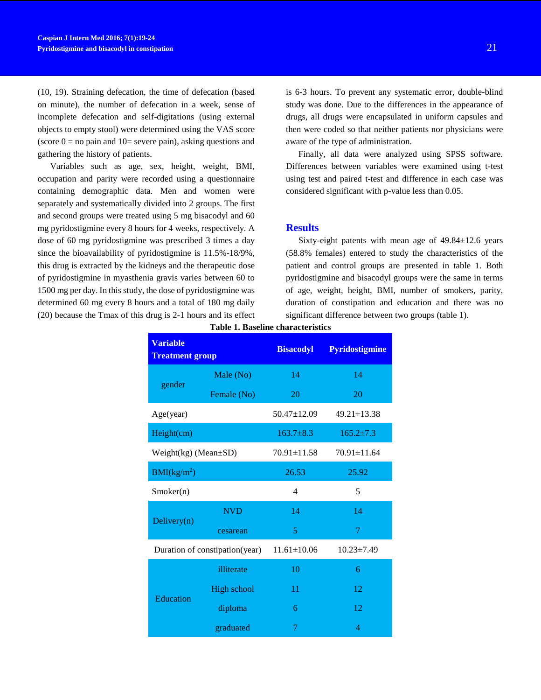(10, 19). Straining defecation, the time of defecation (based on minute), the number of defecation in a week, sense of incomplete defecation and self-digitations (using external objects to empty stool) were determined using the VAS score (score  $0 =$  no pain and  $10 =$  severe pain), asking questions and gathering the history of patients.

Variables such as age, sex, height, weight, BMI, occupation and parity were recorded using a questionnaire containing demographic data. Men and women were separately and systematically divided into 2 groups. The first and second groups were treated using 5 mg bisacodyl and 60 mg pyridostigmine every 8 hours for 4 weeks, respectively. A dose of 60 mg pyridostigmine was prescribed 3 times a day since the bioavailability of pyridostigmine is 11.5%-18/9%, this drug is extracted by the kidneys and the therapeutic dose of pyridostigmine in myasthenia gravis varies between 60 to 1500 mg per day. In this study, the dose of pyridostigmine was determined 60 mg every 8 hours and a total of 180 mg daily (20) because the Tmax of this drug is 2-1 hours and its effect is 6-3 hours. To prevent any systematic error, double-blind study was done. Due to the differences in the appearance of drugs, all drugs were encapsulated in uniform capsules and then were coded so that neither patients nor physicians were aware of the type of administration.

Finally, all data were analyzed using SPSS software. Differences between variables were examined using t-test using test and paired t-test and difference in each case was considered significant with p-value less than 0.05.

#### **Results**

Sixty-eight patents with mean age of  $49.84 \pm 12.6$  years (58.8% females) entered to study the characteristics of the patient and control groups are presented in table 1. Both pyridostigmine and bisacodyl groups were the same in terms of age, weight, height, BMI, number of smokers, parity, duration of constipation and education and there was no significant difference between two groups (table 1).

| <b>Variable</b><br><b>Treatment group</b> |                    | <b>Bisacodyl</b>  | <b>Pyridostigmine</b> |  |
|-------------------------------------------|--------------------|-------------------|-----------------------|--|
|                                           | Male (No)          | 14                | 14                    |  |
| gender                                    | Female (No)        | 20                | 20                    |  |
| Age(year)                                 |                    | $50.47 \pm 12.09$ | $49.21 \pm 13.38$     |  |
| Height(cm)                                |                    | $163.7\pm8.3$     | $165.2 \pm 7.3$       |  |
| Weight(kg) (Mean±SD)                      |                    | 70.91±11.58       | $70.91 \pm 11.64$     |  |
| BMI(kg/m <sup>2</sup> )                   |                    | 26.53             | 25.92                 |  |
| Smoker(n)                                 |                    | 4                 | 5                     |  |
|                                           | <b>NVD</b>         | 14                | 14                    |  |
| Delivery $(n)$                            | cesarean           | 5                 | 7                     |  |
| Duration of constipation(year)            |                    | $11.61 \pm 10.06$ | $10.23 \pm 7.49$      |  |
|                                           | illiterate         | 10                | 6                     |  |
|                                           | <b>High school</b> | 11                | 12                    |  |
| <b>Education</b>                          | diploma            | 6                 | 12                    |  |
|                                           | graduated          | 7                 | 4                     |  |

**Table 1. Baseline characteristics**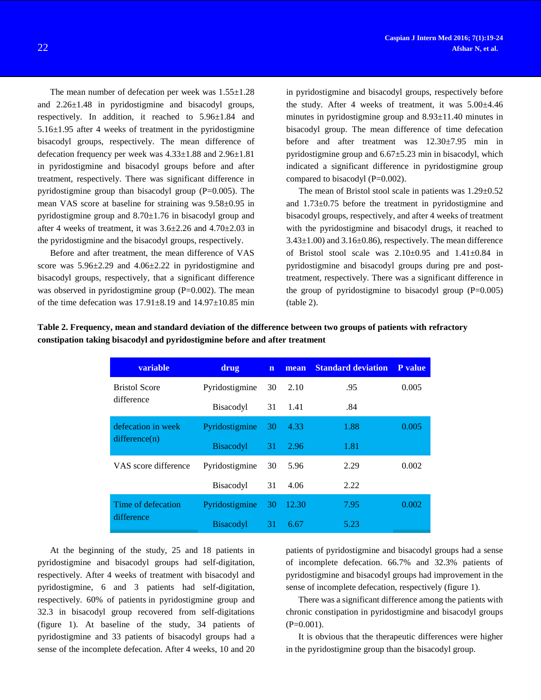The mean number of defecation per week was  $1.55 \pm 1.28$ and 2.26±1.48 in pyridostigmine and bisacodyl groups, respectively. In addition, it reached to 5.96±1.84 and 5.16±1.95 after 4 weeks of treatment in the pyridostigmine bisacodyl groups, respectively. The mean difference of defecation frequency per week was 4.33±1.88 and 2.96±1.81 in pyridostigmine and bisacodyl groups before and after treatment, respectively. There was significant difference in pyridostigmine group than bisacodyl group  $(P=0.005)$ . The mean VAS score at baseline for straining was 9.58±0.95 in pyridostigmine group and 8.70±1.76 in bisacodyl group and after 4 weeks of treatment, it was  $3.6\pm2.26$  and  $4.70\pm2.03$  in the pyridostigmine and the bisacodyl groups, respectively.

Before and after treatment, the mean difference of VAS score was  $5.96\pm2.29$  and  $4.06\pm2.22$  in pyridostigmine and bisacodyl groups, respectively, that a significant difference was observed in pyridostigmine group  $(P=0.002)$ . The mean of the time defecation was  $17.91 \pm 8.19$  and  $14.97 \pm 10.85$  min in pyridostigmine and bisacodyl groups, respectively before the study. After 4 weeks of treatment, it was  $5.00\pm4.46$ minutes in pyridostigmine group and 8.93±11.40 minutes in bisacodyl group. The mean difference of time defecation before and after treatment was 12.30±7.95 min in pyridostigmine group and  $6.67\pm5.23$  min in bisacodyl, which indicated a significant difference in pyridostigmine group compared to bisacodyl (P=0.002).

The mean of Bristol stool scale in patients was 1.29±0.52 and 1.73±0.75 before the treatment in pyridostigmine and bisacodyl groups, respectively, and after 4 weeks of treatment with the pyridostigmine and bisacodyl drugs, it reached to  $3.43\pm1.00$ ) and  $3.16\pm0.86$ ), respectively. The mean difference of Bristol stool scale was  $2.10\pm0.95$  and  $1.41\pm0.84$  in pyridostigmine and bisacodyl groups during pre and posttreatment, respectively. There was a significant difference in the group of pyridostigmine to bisacodyl group  $(P=0.005)$ (table 2).

| variable             | drug             | $\mathbf n$ | mean  | <b>Standard deviation</b> | P value |
|----------------------|------------------|-------------|-------|---------------------------|---------|
| <b>Bristol Score</b> | Pyridostigmine   | 30          | 2.10  | .95                       | 0.005   |
| difference           | Bisacodyl        | 31          | -1.41 | .84                       |         |
| defecation in week   | Pyridostigmine   | 30          | 4.33  | 1.88                      | 0.005   |
| difference(n)        | <b>Bisacodyl</b> | 31          | 2.96  | 1.81                      |         |
| VAS score difference | Pyridostigmine   | 30          | 5.96  | 2.29                      | 0.002   |
|                      | <b>Bisacodyl</b> | 31          | 4.06  | 2.22                      |         |
| Time of defecation   | Pyridostigmine   | 30          | 12.30 | 7.95                      | 0.002   |
| difference           | <b>Bisacodyl</b> | 31          | 6.67  | 5.23                      |         |

| Table 2. Frequency, mean and standard deviation of the difference between two groups of patients with refractory |
|------------------------------------------------------------------------------------------------------------------|
| constipation taking bisacodyl and pyridostigmine before and after treatment                                      |

At the beginning of the study, 25 and 18 patients in pyridostigmine and bisacodyl groups had self-digitation, respectively. After 4 weeks of treatment with bisacodyl and pyridostigmine, 6 and 3 patients had self-digitation, respectively. 60% of patients in pyridostigmine group and 32.3 in bisacodyl group recovered from self-digitations (figure 1). At baseline of the study, 34 patients of pyridostigmine and 33 patients of bisacodyl groups had a sense of the incomplete defecation. After 4 weeks, 10 and 20

patients of pyridostigmine and bisacodyl groups had a sense of incomplete defecation. 66.7% and 32.3% patients of pyridostigmine and bisacodyl groups had improvement in the sense of incomplete defecation, respectively (figure 1).

There was a significant difference among the patients with chronic constipation in pyridostigmine and bisacodyl groups  $(P=0.001)$ .

It is obvious that the therapeutic differences were higher in the pyridostigmine group than the bisacodyl group.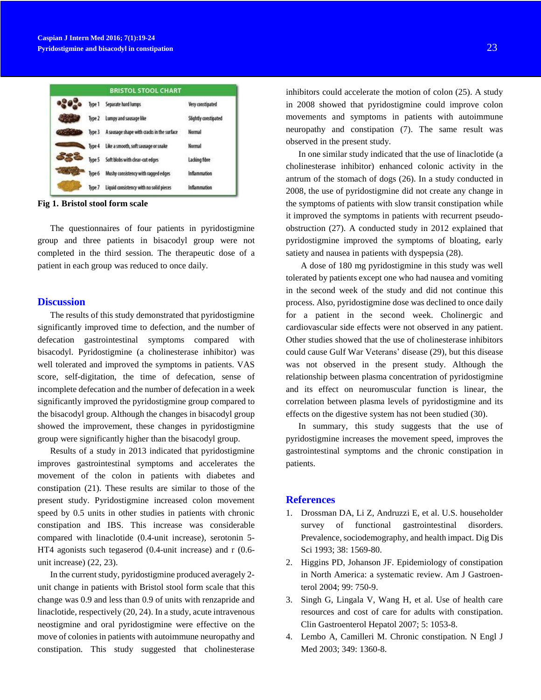|        | <b>BRISTOL STOOL CHART</b>                  |                      |
|--------|---------------------------------------------|----------------------|
|        | Type 1 Separate hard lumps                  | Very constipated     |
|        | Type 2 Lumpy and sausage like               | Slightly constipated |
| Type 3 | A sausage shape with cracks in the surface  | <b>Normal</b>        |
|        | Type 4 Like a smooth, soft sausage or snake | <b>Normal</b>        |
|        | Type 5 Soft blobs with clear-cut edges      | Lacking fibre        |
| Type 6 | Mushy consistency with ragged edges         | Inflammation         |
| Type 7 | Liquid consistency with no solid pieces     | Inflammation         |

**Fig 1. Bristol stool form scale**

The questionnaires of four patients in pyridostigmine group and three patients in bisacodyl group were not completed in the third session. The therapeutic dose of a patient in each group was reduced to once daily.

#### **Discussion**

The results of this study demonstrated that pyridostigmine significantly improved time to defection, and the number of defecation gastrointestinal symptoms compared with bisacodyl. Pyridostigmine (a cholinesterase inhibitor) was well tolerated and improved the symptoms in patients. VAS score, self-digitation, the time of defecation, sense of incomplete defecation and the number of defecation in a week significantly improved the pyridostigmine group compared to the bisacodyl group. Although the changes in bisacodyl group showed the improvement, these changes in pyridostigmine group were significantly higher than the bisacodyl group.

Results of a study in 2013 indicated that pyridostigmine improves gastrointestinal symptoms and accelerates the movement of the colon in patients with diabetes and constipation (21). These results are similar to those of the present study. Pyridostigmine increased colon movement speed by 0.5 units in other studies in patients with chronic constipation and IBS. This increase was considerable compared with linaclotide (0.4-unit increase), serotonin 5- HT4 agonists such tegaserod (0.4-unit increase) and r (0.6 unit increase) (22, 23).

In the current study, pyridostigmine produced averagely 2 unit change in patients with Bristol stool form scale that this change was 0.9 and less than 0.9 of units with renzapride and linaclotide, respectively (20, 24). In a study, acute intravenous neostigmine and oral pyridostigmine were effective on the move of colonies in patients with autoimmune neuropathy and constipation. This study suggested that cholinesterase inhibitors could accelerate the motion of colon (25). A study in 2008 showed that pyridostigmine could improve colon movements and symptoms in patients with autoimmune neuropathy and constipation (7). The same result was observed in the present study.

In one similar study indicated that the use of linaclotide (a cholinesterase inhibitor) enhanced colonic activity in the antrum of the stomach of dogs (26). In a study conducted in 2008, the use of pyridostigmine did not create any change in the symptoms of patients with slow transit constipation while it improved the symptoms in patients with recurrent pseudoobstruction (27). A conducted study in 2012 explained that pyridostigmine improved the symptoms of bloating, early satiety and nausea in patients with dyspepsia (28).

A dose of 180 mg pyridostigmine in this study was well tolerated by patients except one who had nausea and vomiting in the second week of the study and did not continue this process. Also, pyridostigmine dose was declined to once daily for a patient in the second week. Cholinergic and cardiovascular side effects were not observed in any patient. Other studies showed that the use of cholinesterase inhibitors could cause Gulf War Veterans' disease (29), but this disease was not observed in the present study. Although the relationship between plasma concentration of pyridostigmine and its effect on neuromuscular function is linear, the correlation between plasma levels of pyridostigmine and its effects on the digestive system has not been studied (30).

In summary, this study suggests that the use of pyridostigmine increases the movement speed, improves the gastrointestinal symptoms and the chronic constipation in patients.

## **References**

- 1. Drossman DA, Li Z, Andruzzi E, et al. U.S. householder survey of functional gastrointestinal disorders. Prevalence, sociodemography, and health impact. Dig Dis Sci 1993; 38: 1569-80.
- 2. Higgins PD, Johanson JF. Epidemiology of constipation in North America: a systematic review. Am J Gastroenterol 2004; 99: 750-9.
- 3. Singh G, Lingala V, Wang H, et al. Use of health care resources and cost of care for adults with constipation. Clin Gastroenterol Hepatol 2007; 5: 1053-8.
- 4. Lembo A, Camilleri M. Chronic constipation. N Engl J Med 2003; 349: 1360-8.